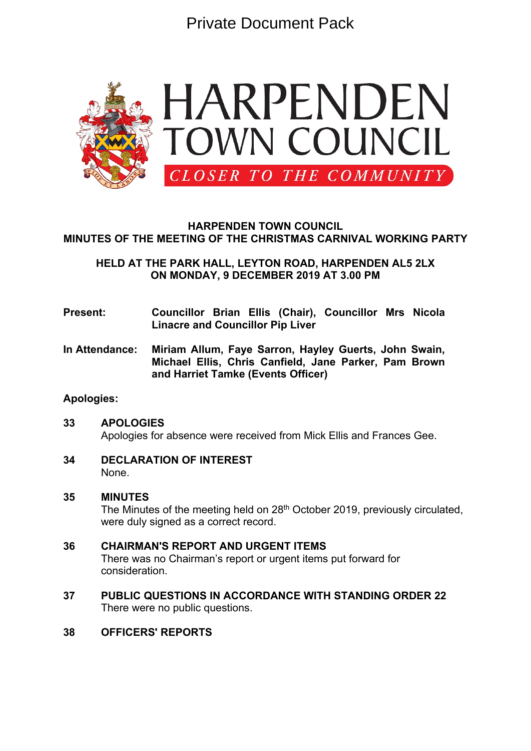Private Document Pack



# **HARPENDEN TOWN COUNCIL MINUTES OF THE MEETING OF THE CHRISTMAS CARNIVAL WORKING PARTY**

**HELD AT THE PARK HALL, LEYTON ROAD, HARPENDEN AL5 2LX ON MONDAY, 9 DECEMBER 2019 AT 3.00 PM**

- **Present: Councillor Brian Ellis (Chair), Councillor Mrs Nicola Linacre and Councillor Pip Liver**
- **In Attendance: Miriam Allum, Faye Sarron, Hayley Guerts, John Swain, Michael Ellis, Chris Canfield, Jane Parker, Pam Brown and Harriet Tamke (Events Officer)**

# **Apologies:**

- **33 APOLOGIES** Apologies for absence were received from Mick Ellis and Frances Gee.
- **34 DECLARATION OF INTEREST** None.

### **35 MINUTES**

The Minutes of the meeting held on  $28<sup>th</sup>$  October 2019, previously circulated, were duly signed as a correct record.

- **36 CHAIRMAN'S REPORT AND URGENT ITEMS** There was no Chairman's report or urgent items put forward for consideration.
- **37 PUBLIC QUESTIONS IN ACCORDANCE WITH STANDING ORDER 22** There were no public questions.

# **38 OFFICERS' REPORTS**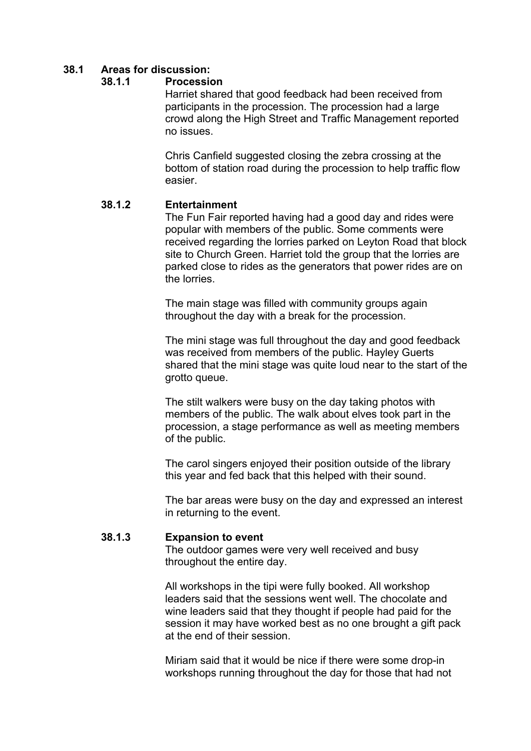# **38.1 Areas for discussion:**

### **38.1.1 Procession**

Harriet shared that good feedback had been received from participants in the procession. The procession had a large crowd along the High Street and Traffic Management reported no issues.

Chris Canfield suggested closing the zebra crossing at the bottom of station road during the procession to help traffic flow easier.

## **38.1.2 Entertainment**

The Fun Fair reported having had a good day and rides were popular with members of the public. Some comments were received regarding the lorries parked on Leyton Road that block site to Church Green. Harriet told the group that the lorries are parked close to rides as the generators that power rides are on the lorries.

The main stage was filled with community groups again throughout the day with a break for the procession.

The mini stage was full throughout the day and good feedback was received from members of the public. Hayley Guerts shared that the mini stage was quite loud near to the start of the grotto queue.

The stilt walkers were busy on the day taking photos with members of the public. The walk about elves took part in the procession, a stage performance as well as meeting members of the public.

The carol singers enjoyed their position outside of the library this year and fed back that this helped with their sound.

The bar areas were busy on the day and expressed an interest in returning to the event.

### **38.1.3 Expansion to event**

The outdoor games were very well received and busy throughout the entire day.

All workshops in the tipi were fully booked. All workshop leaders said that the sessions went well. The chocolate and wine leaders said that they thought if people had paid for the session it may have worked best as no one brought a gift pack at the end of their session.

Miriam said that it would be nice if there were some drop-in workshops running throughout the day for those that had not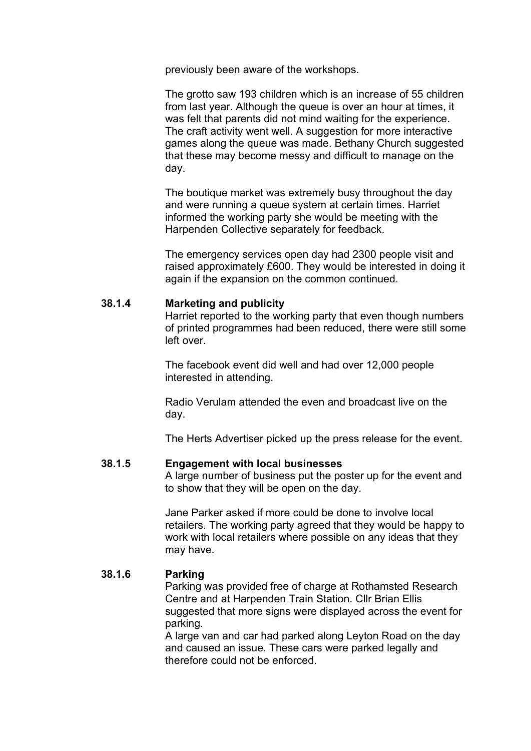previously been aware of the workshops.

The grotto saw 193 children which is an increase of 55 children from last year. Although the queue is over an hour at times, it was felt that parents did not mind waiting for the experience. The craft activity went well. A suggestion for more interactive games along the queue was made. Bethany Church suggested that these may become messy and difficult to manage on the day.

The boutique market was extremely busy throughout the day and were running a queue system at certain times. Harriet informed the working party she would be meeting with the Harpenden Collective separately for feedback.

The emergency services open day had 2300 people visit and raised approximately £600. They would be interested in doing it again if the expansion on the common continued.

## **38.1.4 Marketing and publicity**

Harriet reported to the working party that even though numbers of printed programmes had been reduced, there were still some left over.

The facebook event did well and had over 12,000 people interested in attending.

Radio Verulam attended the even and broadcast live on the day.

The Herts Advertiser picked up the press release for the event.

#### **38.1.5 Engagement with local businesses**

A large number of business put the poster up for the event and to show that they will be open on the day.

Jane Parker asked if more could be done to involve local retailers. The working party agreed that they would be happy to work with local retailers where possible on any ideas that they may have.

## **38.1.6 Parking**

Parking was provided free of charge at Rothamsted Research Centre and at Harpenden Train Station. Cllr Brian Ellis suggested that more signs were displayed across the event for parking.

A large van and car had parked along Leyton Road on the day and caused an issue. These cars were parked legally and therefore could not be enforced.